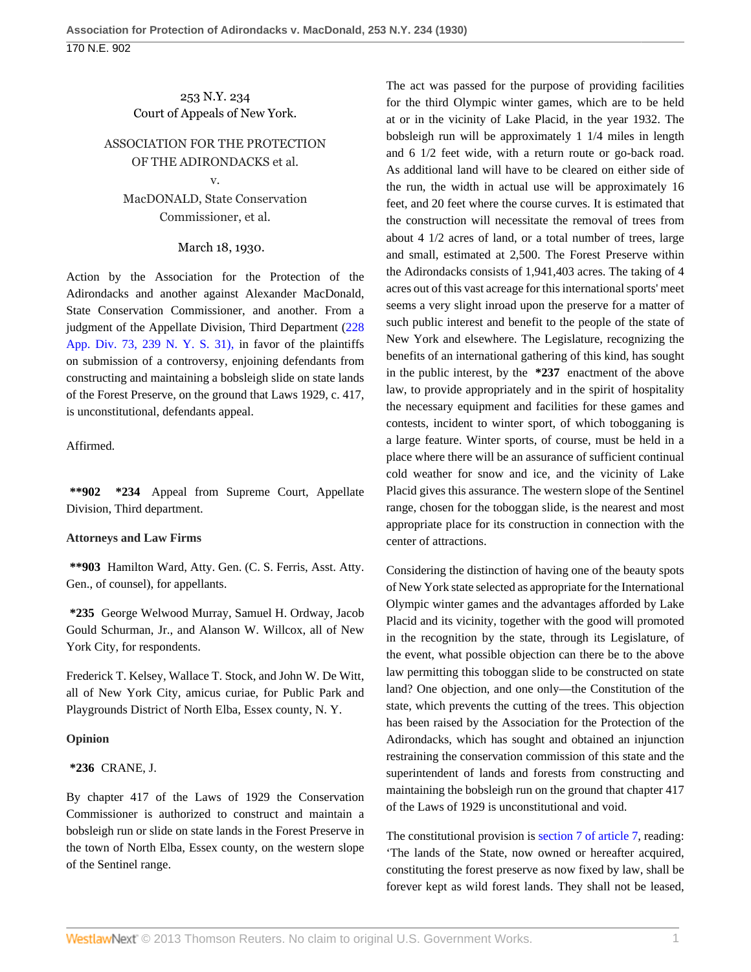# 253 N.Y. 234 Court of Appeals of New York.

# ASSOCIATION FOR THE PROTECTION OF THE ADIRONDACKS et al. v.

# MacDONALD, State Conservation Commissioner, et al.

#### March 18, 1930.

Action by the Association for the Protection of the Adirondacks and another against Alexander MacDonald, State Conservation Commissioner, and another. From a judgment of the Appellate Division, Third Department ([228](http://www.westlaw.com/Link/Document/FullText?findType=Y&serNum=1930100098&pubNum=601&originationContext=document&vr=3.0&rs=cblt1.0&transitionType=DocumentItem&contextData=(sc.DocLink)) [App. Div. 73, 239 N. Y. S. 31\),](http://www.westlaw.com/Link/Document/FullText?findType=Y&serNum=1930100098&pubNum=601&originationContext=document&vr=3.0&rs=cblt1.0&transitionType=DocumentItem&contextData=(sc.DocLink)) in favor of the plaintiffs on submission of a controversy, enjoining defendants from constructing and maintaining a bobsleigh slide on state lands of the Forest Preserve, on the ground that Laws 1929, c. 417, is unconstitutional, defendants appeal.

#### Affirmed.

**\*\*902 \*234** Appeal from Supreme Court, Appellate Division, Third department.

# **Attorneys and Law Firms**

**\*\*903** Hamilton Ward, Atty. Gen. (C. S. Ferris, Asst. Atty. Gen., of counsel), for appellants.

**\*235** George Welwood Murray, Samuel H. Ordway, Jacob Gould Schurman, Jr., and Alanson W. Willcox, all of New York City, for respondents.

Frederick T. Kelsey, Wallace T. Stock, and John W. De Witt, all of New York City, amicus curiae, for Public Park and Playgrounds District of North Elba, Essex county, N. Y.

# **Opinion**

# **\*236** CRANE, J.

By chapter 417 of the Laws of 1929 the Conservation Commissioner is authorized to construct and maintain a bobsleigh run or slide on state lands in the Forest Preserve in the town of North Elba, Essex county, on the western slope of the Sentinel range.

The act was passed for the purpose of providing facilities for the third Olympic winter games, which are to be held at or in the vicinity of Lake Placid, in the year 1932. The bobsleigh run will be approximately 1 1/4 miles in length and 6 1/2 feet wide, with a return route or go-back road. As additional land will have to be cleared on either side of the run, the width in actual use will be approximately 16 feet, and 20 feet where the course curves. It is estimated that the construction will necessitate the removal of trees from about 4 1/2 acres of land, or a total number of trees, large and small, estimated at 2,500. The Forest Preserve within the Adirondacks consists of 1,941,403 acres. The taking of 4 acres out of this vast acreage for this international sports' meet seems a very slight inroad upon the preserve for a matter of such public interest and benefit to the people of the state of New York and elsewhere. The Legislature, recognizing the benefits of an international gathering of this kind, has sought in the public interest, by the **\*237** enactment of the above law, to provide appropriately and in the spirit of hospitality the necessary equipment and facilities for these games and contests, incident to winter sport, of which tobogganing is a large feature. Winter sports, of course, must be held in a place where there will be an assurance of sufficient continual cold weather for snow and ice, and the vicinity of Lake Placid gives this assurance. The western slope of the Sentinel range, chosen for the toboggan slide, is the nearest and most appropriate place for its construction in connection with the center of attractions.

Considering the distinction of having one of the beauty spots of New York state selected as appropriate for the International Olympic winter games and the advantages afforded by Lake Placid and its vicinity, together with the good will promoted in the recognition by the state, through its Legislature, of the event, what possible objection can there be to the above law permitting this toboggan slide to be constructed on state land? One objection, and one only—the Constitution of the state, which prevents the cutting of the trees. This objection has been raised by the Association for the Protection of the Adirondacks, which has sought and obtained an injunction restraining the conservation commission of this state and the superintendent of lands and forests from constructing and maintaining the bobsleigh run on the ground that chapter 417 of the Laws of 1929 is unconstitutional and void.

The constitutional provision is [section 7 of article 7](http://www.westlaw.com/Link/Document/FullText?findType=L&pubNum=1000300&cite=NYCNART7S7&originatingDoc=I5dc7bda7d6bb11d9bf60c1d57ebc853e&refType=LQ&originationContext=document&vr=3.0&rs=cblt1.0&transitionType=DocumentItem&contextData=(sc.DocLink)), reading: 'The lands of the State, now owned or hereafter acquired, constituting the forest preserve as now fixed by law, shall be forever kept as wild forest lands. They shall not be leased,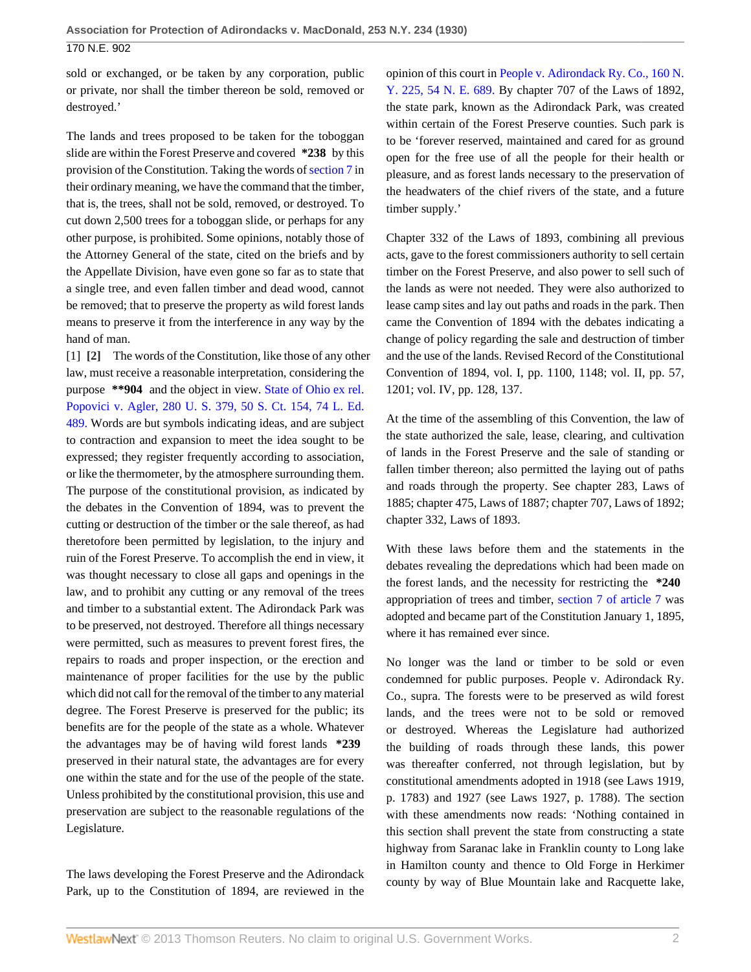sold or exchanged, or be taken by any corporation, public or private, nor shall the timber thereon be sold, removed or destroyed.'

The lands and trees proposed to be taken for the toboggan slide are within the Forest Preserve and covered **\*238** by this provision of the Constitution. Taking the words of [section 7](http://www.westlaw.com/Link/Document/FullText?findType=L&pubNum=1000300&cite=NYCNART7S7&originatingDoc=I5dc7bda7d6bb11d9bf60c1d57ebc853e&refType=LQ&originationContext=document&vr=3.0&rs=cblt1.0&transitionType=DocumentItem&contextData=(sc.DocLink)) in their ordinary meaning, we have the command that the timber, that is, the trees, shall not be sold, removed, or destroyed. To cut down 2,500 trees for a toboggan slide, or perhaps for any other purpose, is prohibited. Some opinions, notably those of the Attorney General of the state, cited on the briefs and by the Appellate Division, have even gone so far as to state that a single tree, and even fallen timber and dead wood, cannot be removed; that to preserve the property as wild forest lands means to preserve it from the interference in any way by the hand of man.

[1] **[2]** The words of the Constitution, like those of any other law, must receive a reasonable interpretation, considering the purpose **\*\*904** and the object in view. [State of Ohio ex rel.](http://www.westlaw.com/Link/Document/FullText?findType=Y&serNum=1930122642&pubNum=708&originationContext=document&vr=3.0&rs=cblt1.0&transitionType=DocumentItem&contextData=(sc.DocLink)) [Popovici v. Agler, 280 U. S. 379, 50 S. Ct. 154, 74 L. Ed.](http://www.westlaw.com/Link/Document/FullText?findType=Y&serNum=1930122642&pubNum=708&originationContext=document&vr=3.0&rs=cblt1.0&transitionType=DocumentItem&contextData=(sc.DocLink)) [489.](http://www.westlaw.com/Link/Document/FullText?findType=Y&serNum=1930122642&pubNum=708&originationContext=document&vr=3.0&rs=cblt1.0&transitionType=DocumentItem&contextData=(sc.DocLink)) Words are but symbols indicating ideas, and are subject to contraction and expansion to meet the idea sought to be expressed; they register frequently according to association, or like the thermometer, by the atmosphere surrounding them. The purpose of the constitutional provision, as indicated by the debates in the Convention of 1894, was to prevent the cutting or destruction of the timber or the sale thereof, as had theretofore been permitted by legislation, to the injury and ruin of the Forest Preserve. To accomplish the end in view, it was thought necessary to close all gaps and openings in the law, and to prohibit any cutting or any removal of the trees and timber to a substantial extent. The Adirondack Park was to be preserved, not destroyed. Therefore all things necessary were permitted, such as measures to prevent forest fires, the repairs to roads and proper inspection, or the erection and maintenance of proper facilities for the use by the public which did not call for the removal of the timber to any material degree. The Forest Preserve is preserved for the public; its benefits are for the people of the state as a whole. Whatever the advantages may be of having wild forest lands **\*239** preserved in their natural state, the advantages are for every one within the state and for the use of the people of the state. Unless prohibited by the constitutional provision, this use and preservation are subject to the reasonable regulations of the Legislature.

The laws developing the Forest Preserve and the Adirondack Park, up to the Constitution of 1894, are reviewed in the opinion of this court in [People v. Adirondack Ry. Co., 160 N.](http://www.westlaw.com/Link/Document/FullText?findType=Y&serNum=1899003509&pubNum=577&originationContext=document&vr=3.0&rs=cblt1.0&transitionType=DocumentItem&contextData=(sc.DocLink)) [Y. 225, 54 N. E. 689.](http://www.westlaw.com/Link/Document/FullText?findType=Y&serNum=1899003509&pubNum=577&originationContext=document&vr=3.0&rs=cblt1.0&transitionType=DocumentItem&contextData=(sc.DocLink)) By chapter 707 of the Laws of 1892, the state park, known as the Adirondack Park, was created within certain of the Forest Preserve counties. Such park is to be 'forever reserved, maintained and cared for as ground open for the free use of all the people for their health or pleasure, and as forest lands necessary to the preservation of the headwaters of the chief rivers of the state, and a future timber supply.'

Chapter 332 of the Laws of 1893, combining all previous acts, gave to the forest commissioners authority to sell certain timber on the Forest Preserve, and also power to sell such of the lands as were not needed. They were also authorized to lease camp sites and lay out paths and roads in the park. Then came the Convention of 1894 with the debates indicating a change of policy regarding the sale and destruction of timber and the use of the lands. Revised Record of the Constitutional Convention of 1894, vol. I, pp. 1100, 1148; vol. II, pp. 57, 1201; vol. IV, pp. 128, 137.

At the time of the assembling of this Convention, the law of the state authorized the sale, lease, clearing, and cultivation of lands in the Forest Preserve and the sale of standing or fallen timber thereon; also permitted the laying out of paths and roads through the property. See chapter 283, Laws of 1885; chapter 475, Laws of 1887; chapter 707, Laws of 1892; chapter 332, Laws of 1893.

With these laws before them and the statements in the debates revealing the depredations which had been made on the forest lands, and the necessity for restricting the **\*240** appropriation of trees and timber, [section 7 of article 7](http://www.westlaw.com/Link/Document/FullText?findType=L&pubNum=1000300&cite=NYCNART7S7&originatingDoc=I5dc7bda7d6bb11d9bf60c1d57ebc853e&refType=LQ&originationContext=document&vr=3.0&rs=cblt1.0&transitionType=DocumentItem&contextData=(sc.DocLink)) was adopted and became part of the Constitution January 1, 1895, where it has remained ever since.

No longer was the land or timber to be sold or even condemned for public purposes. People v. Adirondack Ry. Co., supra. The forests were to be preserved as wild forest lands, and the trees were not to be sold or removed or destroyed. Whereas the Legislature had authorized the building of roads through these lands, this power was thereafter conferred, not through legislation, but by constitutional amendments adopted in 1918 (see Laws 1919, p. 1783) and 1927 (see Laws 1927, p. 1788). The section with these amendments now reads: 'Nothing contained in this section shall prevent the state from constructing a state highway from Saranac lake in Franklin county to Long lake in Hamilton county and thence to Old Forge in Herkimer county by way of Blue Mountain lake and Racquette lake,